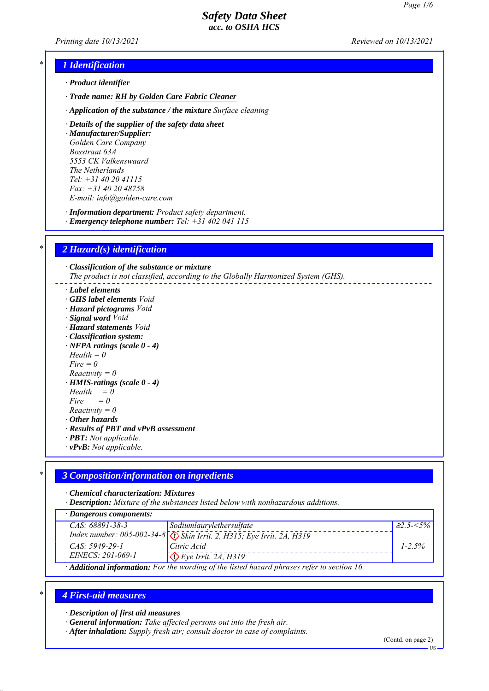*Printing date 10/13/2021 Reviewed on 10/13/2021*

# *\* 1 Identification*

- *ꞏ Product identifier*
- *ꞏ Trade name: RH by Golden Care Fabric Cleaner*
- *ꞏ Application of the substance / the mixture Surface cleaning*
- *ꞏ Details of the supplier of the safety data sheet*

*ꞏ Manufacturer/Supplier: Golden Care Company Bosstraat 63A 5553 CK Valkenswaard The Netherlands Tel: +31 40 20 41115 Fax: +31 40 20 48758 E-mail: info@golden-care.com*

*ꞏ Information department: Product safety department.*

*ꞏ Emergency telephone number: Tel: +31 402 041 115*

# *\* 2 Hazard(s) identification*

*ꞏ Classification of the substance or mixture The product is not classified, according to the Globally Harmonized System (GHS).*

- *ꞏ Label elements*
- *ꞏ GHS label elements Void*
- *ꞏ Hazard pictograms Void*
- *ꞏ Signal word Void*
- *ꞏ Hazard statements Void*
- *ꞏ Classification system:*
- *ꞏ NFPA ratings (scale 0 4)*
- *Health = 0*

*Fire = 0*

- *Reactivity = 0*
- *ꞏ HMIS-ratings (scale 0 4)*
- $Health = 0$
- $Fire = 0$
- *Reactivity = 0*
- *ꞏ Other hazards*
- *ꞏ Results of PBT and vPvB assessment*
- *ꞏ PBT: Not applicable.*
- *ꞏ vPvB: Not applicable.*

# *\* 3 Composition/information on ingredients*

*ꞏ Chemical characterization: Mixtures*

*ꞏ Description: Mixture of the substances listed below with nonhazardous additions.*

| $\cdot$ Dangerous components: |                                                                                                                                                              |                  |
|-------------------------------|--------------------------------------------------------------------------------------------------------------------------------------------------------------|------------------|
| $CAS: 68891 - 38 - 3$         | Sodiumlaurylethersulfate                                                                                                                                     | $\geq 2.5 - 5\%$ |
|                               | Index number: 005-002-34-8 $\bigotimes$ Skin Irrit. 2, H315; Eye Irrit. 2A, H319                                                                             |                  |
| $CAS: 5949-29-1$              | Citric Acid                                                                                                                                                  | $1 - 2.5\%$      |
| EINECS: 201-069-1             | $\bigcirc$ Eye Irrit. 2A, H319                                                                                                                               |                  |
|                               | $\lambda$ if $\lambda$ is a subset of the state of $\lambda$ is a state of $\lambda$ is a state of $\lambda$ is a state of $\lambda$ is a state of $\lambda$ |                  |

*ꞏ Additional information: For the wording of the listed hazard phrases refer to section 16.*

# *\* 4 First-aid measures*

*ꞏ Description of first aid measures*

- *ꞏ General information: Take affected persons out into the fresh air.*
- *ꞏ After inhalation: Supply fresh air; consult doctor in case of complaints.*

(Contd. on page 2)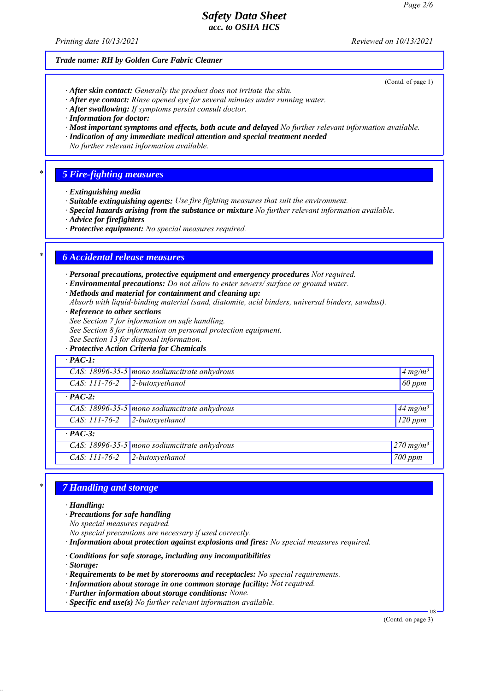*Printing date 10/13/2021 Reviewed on 10/13/2021*

(Contd. of page 1)

#### *Trade name: RH by Golden Care Fabric Cleaner*

- *ꞏ After skin contact: Generally the product does not irritate the skin.*
- *ꞏ After eye contact: Rinse opened eye for several minutes under running water.*
- *ꞏ After swallowing: If symptoms persist consult doctor.*
- *ꞏ Information for doctor:*
- *ꞏ Most important symptoms and effects, both acute and delayed No further relevant information available.*
- *ꞏ Indication of any immediate medical attention and special treatment needed*
- *No further relevant information available.*

### *\* 5 Fire-fighting measures*

- *ꞏ Extinguishing media*
- *ꞏ Suitable extinguishing agents: Use fire fighting measures that suit the environment.*
- *ꞏ Special hazards arising from the substance or mixture No further relevant information available.*
- *ꞏ Advice for firefighters*
- *ꞏ Protective equipment: No special measures required.*

### *\* 6 Accidental release measures*

- *ꞏ Personal precautions, protective equipment and emergency procedures Not required.*
- *ꞏ Environmental precautions: Do not allow to enter sewers/ surface or ground water.*
- *ꞏ Methods and material for containment and cleaning up:*
- *Absorb with liquid-binding material (sand, diatomite, acid binders, universal binders, sawdust).*
- *ꞏ Reference to other sections*
- *See Section 7 for information on safe handling.*
- *See Section 8 for information on personal protection equipment.*
- *See Section 13 for disposal information.*
- *ꞏ Protective Action Criteria for Chemicals*

# *ꞏ PAC-1: CAS: 18996-35-5 mono sodiumcitrate anhydrous 4 mg/m³ CAS: 111-76-2 2-butoxyethanol 60 ppm ꞏ PAC-2: CAS: 18996-35-5 mono sodiumcitrate anhydrous 44 mg/m³ CAS: 111-76-2 2-butoxyethanol 120 ppm ꞏ PAC-3: CAS: 18996-35-5 mono sodiumcitrate anhydrous 270 mg/m³ CAS: 111-76-2 2-butoxyethanol 700 ppm*

# *\* 7 Handling and storage*

*ꞏ Handling:*

- *ꞏ Precautions for safe handling*
- *No special measures required.*
- *No special precautions are necessary if used correctly.*
- *ꞏ Information about protection against explosions and fires: No special measures required.*
- *ꞏ Conditions for safe storage, including any incompatibilities*
- *ꞏ Storage:*
- *ꞏ Requirements to be met by storerooms and receptacles: No special requirements.*
- *ꞏ Information about storage in one common storage facility: Not required.*
- *ꞏ Further information about storage conditions: None.*
- *ꞏ Specific end use(s) No further relevant information available.*

(Contd. on page 3)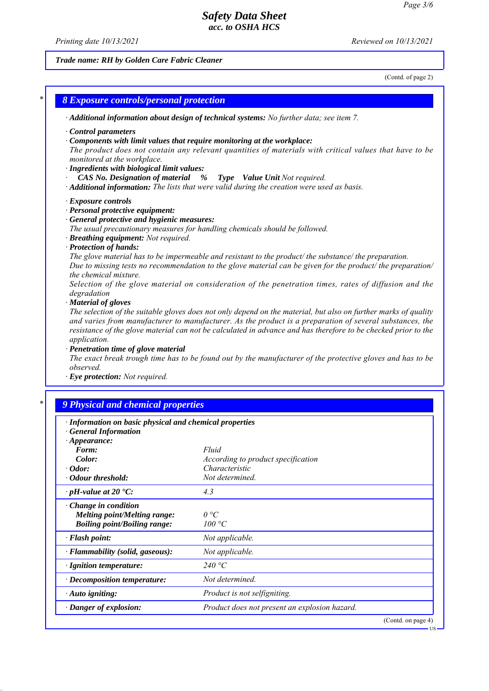*Printing date 10/13/2021 Reviewed on 10/13/2021*

# *Trade name: RH by Golden Care Fabric Cleaner*

(Contd. of page 2)

| <b>8 Exposure controls/personal protection</b>                                                                                                                                                                                                                                                                |                                                                                                                                                                                                                                                                                                                                                                                                                                                                                                                                                                                                                                                                                                                                                                                                                                                                              |
|---------------------------------------------------------------------------------------------------------------------------------------------------------------------------------------------------------------------------------------------------------------------------------------------------------------|------------------------------------------------------------------------------------------------------------------------------------------------------------------------------------------------------------------------------------------------------------------------------------------------------------------------------------------------------------------------------------------------------------------------------------------------------------------------------------------------------------------------------------------------------------------------------------------------------------------------------------------------------------------------------------------------------------------------------------------------------------------------------------------------------------------------------------------------------------------------------|
|                                                                                                                                                                                                                                                                                                               | · Additional information about design of technical systems: No further data; see item 7.                                                                                                                                                                                                                                                                                                                                                                                                                                                                                                                                                                                                                                                                                                                                                                                     |
| Control parameters<br>monitored at the workplace.<br>· Ingredients with biological limit values:<br>CAS No. Designation of material                                                                                                                                                                           | Components with limit values that require monitoring at the workplace:<br>The product does not contain any relevant quantities of materials with critical values that have to be<br>%<br><b>Type</b> Value Unit Not required.<br>· Additional information: The lists that were valid during the creation were used as basis.                                                                                                                                                                                                                                                                                                                                                                                                                                                                                                                                                 |
| · Exposure controls<br>· Personal protective equipment:<br>· General protective and hygienic measures:<br>· Breathing equipment: Not required.<br>· Protection of hands:<br>the chemical mixture.<br>degradation<br>· Material of gloves<br>application.<br>· Penetration time of glove material<br>observed. | The usual precautionary measures for handling chemicals should be followed.<br>The glove material has to be impermeable and resistant to the product/ the substance/ the preparation.<br>Due to missing tests no recommendation to the glove material can be given for the product/ the preparation/<br>Selection of the glove material on consideration of the penetration times, rates of diffusion and the<br>The selection of the suitable gloves does not only depend on the material, but also on further marks of quality<br>and varies from manufacturer to manufacturer. As the product is a preparation of several substances, the<br>resistance of the glove material can not be calculated in advance and has therefore to be checked prior to the<br>The exact break trough time has to be found out by the manufacturer of the protective gloves and has to be |
| · Eye protection: Not required.<br>9 Physical and chemical properties                                                                                                                                                                                                                                         |                                                                                                                                                                                                                                                                                                                                                                                                                                                                                                                                                                                                                                                                                                                                                                                                                                                                              |
| · Information on basic physical and chemical properties                                                                                                                                                                                                                                                       |                                                                                                                                                                                                                                                                                                                                                                                                                                                                                                                                                                                                                                                                                                                                                                                                                                                                              |
| <b>General Information</b><br>$\cdot$ Appearance:<br><i>Form:</i><br>Color:<br>$\cdot$ Odor:                                                                                                                                                                                                                  | Fluid<br>According to product specification<br>Characteristic                                                                                                                                                                                                                                                                                                                                                                                                                                                                                                                                                                                                                                                                                                                                                                                                                |
| · Odour threshold:                                                                                                                                                                                                                                                                                            | Not determined.                                                                                                                                                                                                                                                                                                                                                                                                                                                                                                                                                                                                                                                                                                                                                                                                                                                              |
| $\cdot$ pH-value at 20 $\textdegree$ C:<br>Change in condition<br><b>Melting point/Melting range:</b><br><b>Boiling point/Boiling range:</b>                                                                                                                                                                  | 4.3<br>0 °C<br>100 °C                                                                                                                                                                                                                                                                                                                                                                                                                                                                                                                                                                                                                                                                                                                                                                                                                                                        |
| · Flash point:                                                                                                                                                                                                                                                                                                | Not applicable.                                                                                                                                                                                                                                                                                                                                                                                                                                                                                                                                                                                                                                                                                                                                                                                                                                                              |
| · Flammability (solid, gaseous):                                                                                                                                                                                                                                                                              |                                                                                                                                                                                                                                                                                                                                                                                                                                                                                                                                                                                                                                                                                                                                                                                                                                                                              |
|                                                                                                                                                                                                                                                                                                               |                                                                                                                                                                                                                                                                                                                                                                                                                                                                                                                                                                                                                                                                                                                                                                                                                                                                              |
|                                                                                                                                                                                                                                                                                                               | Not applicable.<br>240 $\degree$ C                                                                                                                                                                                                                                                                                                                                                                                                                                                                                                                                                                                                                                                                                                                                                                                                                                           |
| · Ignition temperature:<br>· Decomposition temperature:                                                                                                                                                                                                                                                       | Not determined.                                                                                                                                                                                                                                                                                                                                                                                                                                                                                                                                                                                                                                                                                                                                                                                                                                                              |
| · Auto igniting:                                                                                                                                                                                                                                                                                              | Product is not selfigniting.                                                                                                                                                                                                                                                                                                                                                                                                                                                                                                                                                                                                                                                                                                                                                                                                                                                 |

(Contd. on page 4)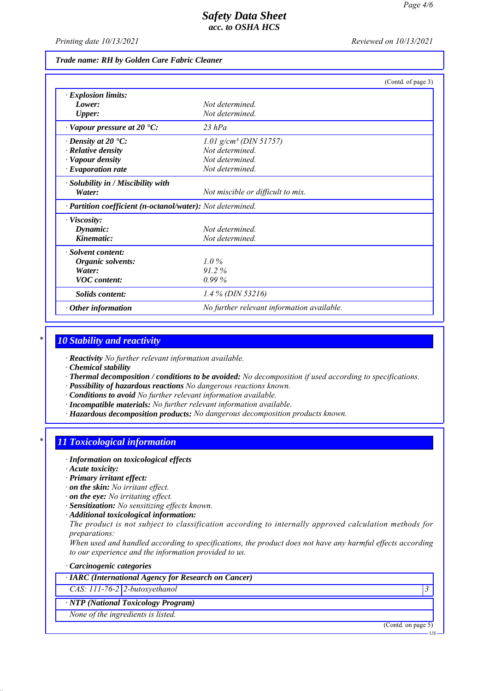*Printing date 10/13/2021 Reviewed on 10/13/2021*

### *Trade name: RH by Golden Care Fabric Cleaner*

|                                                            | (Contd. of page 3)                         |
|------------------------------------------------------------|--------------------------------------------|
| · Explosion limits:                                        |                                            |
| Lower:                                                     | Not determined.                            |
| <b>Upper:</b>                                              | Not determined.                            |
| $\cdot$ Vapour pressure at 20 $\cdot$ C:                   | $23$ hPa                                   |
| $\cdot$ Density at 20 $\cdot$ C:                           | $1.01$ g/cm <sup>3</sup> (DIN 51757)       |
| · Relative density                                         | Not determined.                            |
| · Vapour density                                           | Not determined.                            |
| · Evaporation rate                                         | Not determined.                            |
| · Solubility in / Miscibility with                         |                                            |
| Water:                                                     | Not miscible or difficult to mix.          |
| · Partition coefficient (n-octanol/water): Not determined. |                                            |
| $\cdot$ Viscosity:                                         |                                            |
| Dynamic:                                                   | Not determined                             |
| Kinematic:                                                 | Not determined.                            |
| · Solvent content:                                         |                                            |
| Organic solvents:                                          | $1.0\%$                                    |
| Water:                                                     | 91.2%                                      |
| <b>VOC</b> content:                                        | 0.99%                                      |
| Solids content:                                            | $1.4\%$ (DIN 53216)                        |
| $\cdot$ Other information                                  | No further relevant information available. |

# *\* 10 Stability and reactivity*

*ꞏ Reactivity No further relevant information available.*

*ꞏ Chemical stability*

- *ꞏ Thermal decomposition / conditions to be avoided: No decomposition if used according to specifications.*
- *ꞏ Possibility of hazardous reactions No dangerous reactions known.*

*ꞏ Conditions to avoid No further relevant information available.*

*ꞏ Incompatible materials: No further relevant information available.*

*ꞏ Hazardous decomposition products: No dangerous decomposition products known.*

# *\* 11 Toxicological information*

*ꞏ Information on toxicological effects*

*ꞏ Acute toxicity:*

*ꞏ Primary irritant effect:*

- *ꞏ on the skin: No irritant effect.*
- *ꞏ on the eye: No irritating effect.*
- *ꞏ Sensitization: No sensitizing effects known.*
- *ꞏ Additional toxicological information:*

*The product is not subject to classification according to internally approved calculation methods for preparations:*

*When used and handled according to specifications, the product does not have any harmful effects according to our experience and the information provided to us.*

*ꞏ Carcinogenic categories*

*ꞏ IARC (International Agency for Research on Cancer)*

*CAS: 111-76-2 2-butoxyethanol 3* 

*ꞏ NTP (National Toxicology Program)*

*None of the ingredients is listed.*

(Contd. on page 5)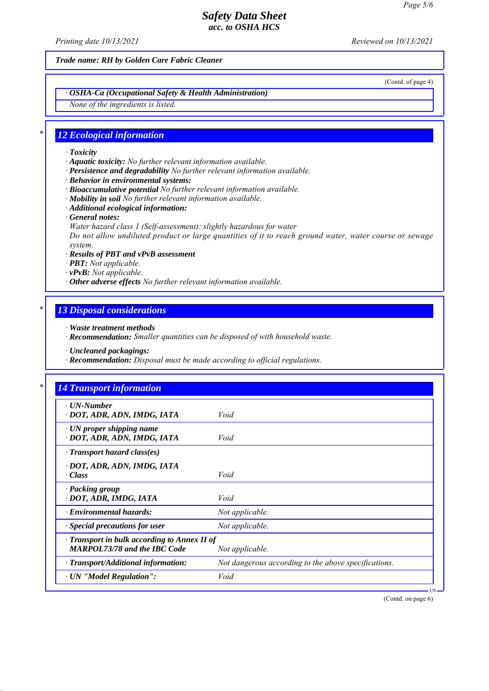*Printing date 10/13/2021 Reviewed on 10/13/2021*

*Trade name: RH by Golden Care Fabric Cleaner*

(Contd. of page 4)

# *ꞏ OSHA-Ca (Occupational Safety & Health Administration)*

*None of the ingredients is listed.*

# *\* 12 Ecological information*

#### *ꞏ Toxicity*

- *ꞏ Aquatic toxicity: No further relevant information available.*
- *ꞏ Persistence and degradability No further relevant information available.*
- *ꞏ Behavior in environmental systems:*
- *ꞏ Bioaccumulative potential No further relevant information available.*
- *ꞏ Mobility in soil No further relevant information available.*
- *ꞏ Additional ecological information:*
- *ꞏ General notes:*
- *Water hazard class 1 (Self-assessment): slightly hazardous for water*

*Do not allow undiluted product or large quantities of it to reach ground water, water course or sewage system.*

- *ꞏ Results of PBT and vPvB assessment*
- *ꞏ PBT: Not applicable.*
- *ꞏ vPvB: Not applicable.*
- *ꞏ Other adverse effects No further relevant information available.*

### *\* 13 Disposal considerations*

- *ꞏ Waste treatment methods*
- *ꞏ Recommendation: Smaller quantities can be disposed of with household waste.*
- *ꞏ Uncleaned packagings:*
- *ꞏ Recommendation: Disposal must be made according to official regulations.*

| $\cdot$ UN-Number                                  |                                                      |
|----------------------------------------------------|------------------------------------------------------|
| · DOT, ADR, ADN, IMDG, IATA                        | Void                                                 |
| $\cdot$ UN proper shipping name                    |                                                      |
| · DOT, ADR, ADN, IMDG, IATA                        | Void                                                 |
| $\cdot$ Transport hazard class(es)                 |                                                      |
| · DOT, ADR, ADN, IMDG, IATA                        |                                                      |
| $\cdot Class$                                      | Void                                                 |
| · Packing group                                    |                                                      |
| · DOT, ADR, IMDG, IATA                             | Void                                                 |
| $\cdot$ Environmental hazards:                     | Not applicable.                                      |
| · Special precautions for user                     | Not applicable.                                      |
| $\cdot$ Transport in bulk according to Annex II of |                                                      |
| <b>MARPOL73/78 and the IBC Code</b>                | Not applicable.                                      |
| $\cdot$ Transport/Additional information:          | Not dangerous according to the above specifications. |
| · UN "Model Regulation":                           | Void                                                 |

(Contd. on page 6)